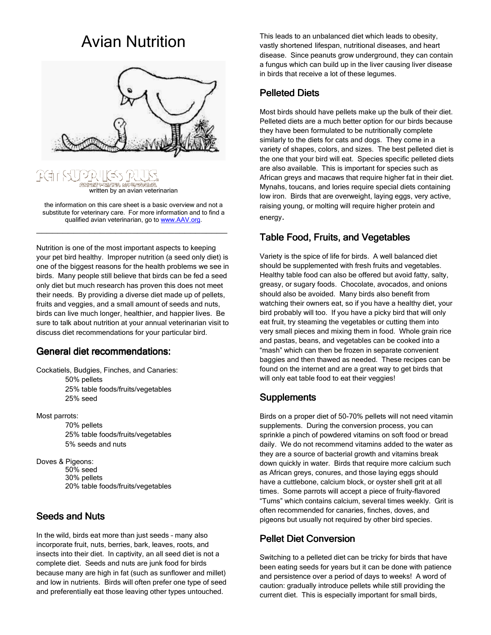# Avian Nutrition





the information on this care sheet is a basic overview and not a substitute for veterinary care. For more information and to find a qualified avian veterinarian, go to www.AAV.org.

\_\_\_\_\_\_\_\_\_\_\_\_\_\_\_\_\_\_\_\_\_\_\_\_\_\_\_\_\_\_\_\_\_\_\_\_

Nutrition is one of the most important aspects to keeping your pet bird healthy. Improper nutrition (a seed only diet) is one of the biggest reasons for the health problems we see in birds. Many people still believe that birds can be fed a seed only diet but much research has proven this does not meet their needs. By providing a diverse diet made up of pellets, fruits and veggies, and a small amount of seeds and nuts, birds can live much longer, healthier, and happier lives. Be sure to talk about nutrition at your annual veterinarian visit to discuss diet recommendations for your particular bird.

#### General diet recommendations:

Cockatiels, Budgies, Finches, and Canaries: 50% pellets 25% table foods/fruits/vegetables

25% seed

Most parrots:

 70% pellets 25% table foods/fruits/vegetables 5% seeds and nuts

Doves & Pigeons: 50% seed 30% pellets 20% table foods/fruits/vegetables

### **Seeds and Nuts**

In the wild, birds eat more than just seeds – many also incorporate fruit, nuts, berries, bark, leaves, roots, and insects into their diet. In captivity, an all seed diet is not a complete diet. Seeds and nuts are junk food for birds because many are high in fat (such as sunflower and millet) and low in nutrients. Birds will often prefer one type of seed and preferentially eat those leaving other types untouched.

This leads to an unbalanced diet which leads to obesity, vastly shortened lifespan, nutritional diseases, and heart disease. Since peanuts grow underground, they can contain a fungus which can build up in the liver causing liver disease in birds that receive a lot of these legumes.

#### **Pelleted Diets**

Most birds should have pellets make up the bulk of their diet. Pelleted diets are a much better option for our birds because they have been formulated to be nutritionally complete similarly to the diets for cats and dogs. They come in a variety of shapes, colors, and sizes. The best pelleted diet is the one that your bird will eat. Species specific pelleted diets are also available. This is important for species such as African greys and macaws that require higher fat in their diet. Mynahs, toucans, and lories require special diets containing low iron. Birds that are overweight, laying eggs, very active, raising young, or molting will require higher protein and energy.

### Table Food, Fruits, and Vegetables

Variety is the spice of life for birds. A well balanced diet should be supplemented with fresh fruits and vegetables. Healthy table food can also be offered but avoid fatty, salty, greasy, or sugary foods. Chocolate, avocados, and onions should also be avoided. Many birds also benefit from watching their owners eat, so if you have a healthy diet, your bird probably will too. If you have a picky bird that will only eat fruit, try steaming the vegetables or cutting them into very small pieces and mixing them in food. Whole grain rice and pastas, beans, and vegetables can be cooked into a "mash" which can then be frozen in separate convenient baggies and then thawed as needed. These recipes can be found on the internet and are a great way to get birds that will only eat table food to eat their veggies!

### **Supplements**

Birds on a proper diet of 50-70% pellets will not need vitamin supplements. During the conversion process, you can sprinkle a pinch of powdered vitamins on soft food or bread daily. We do not recommend vitamins added to the water as they are a source of bacterial growth and vitamins break down quickly in water. Birds that require more calcium such as African greys, conures, and those laying eggs should have a cuttlebone, calcium block, or oyster shell grit at all times. Some parrots will accept a piece of fruity-flavored "Tums" which contains calcium, several times weekly. Grit is often recommended for canaries, finches, doves, and pigeons but usually not required by other bird species.

### Pellet Diet Conversion Pellet Diet Conversion

Switching to a pelleted diet can be tricky for birds that have been eating seeds for years but it can be done with patience and persistence over a period of days to weeks! A word of caution: gradually introduce pellets while still providing the current diet. This is especially important for small birds,